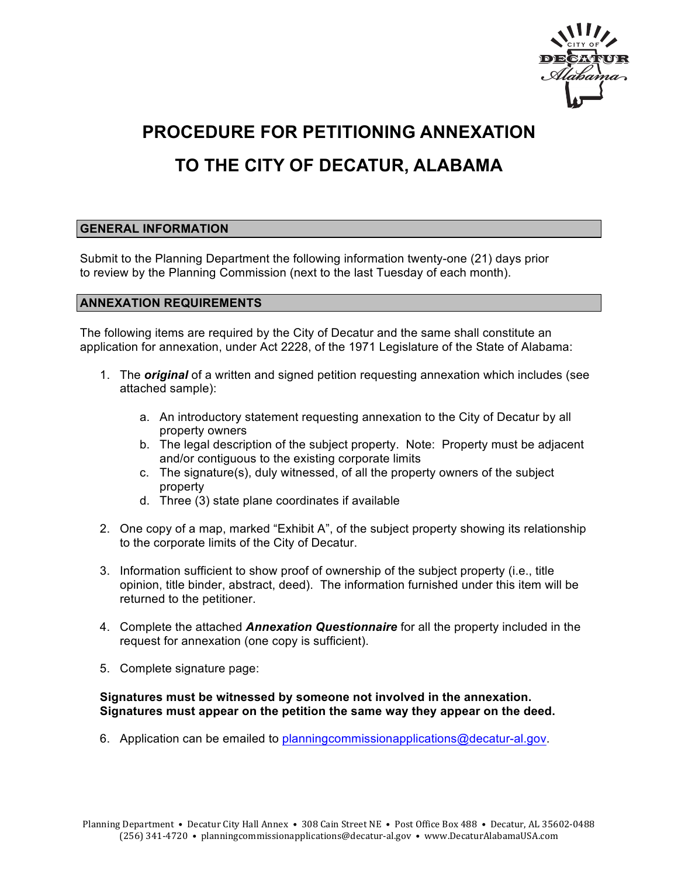

## **PROCEDURE FOR PETITIONING ANNEXATION**

# **TO THE CITY OF DECATUR, ALABAMA**

### **GENERAL INFORMATION**

Submit to the Planning Department the following information twenty-one (21) days prior to review by the Planning Commission (next to the last Tuesday of each month).

#### **ANNEXATION REQUIREMENTS**

The following items are required by the City of Decatur and the same shall constitute an application for annexation, under Act 2228, of the 1971 Legislature of the State of Alabama:

- 1. The *original* of a written and signed petition requesting annexation which includes (see attached sample):
	- a. An introductory statement requesting annexation to the City of Decatur by all property owners
	- b. The legal description of the subject property. Note: Property must be adjacent and/or contiguous to the existing corporate limits
	- c. The signature(s), duly witnessed, of all the property owners of the subject property
	- d. Three (3) state plane coordinates if available
- 2. One copy of a map, marked "Exhibit A", of the subject property showing its relationship to the corporate limits of the City of Decatur.
- 3. Information sufficient to show proof of ownership of the subject property (i.e., title opinion, title binder, abstract, deed). The information furnished under this item will be returned to the petitioner.
- 4. Complete the attached *Annexation Questionnaire* for all the property included in the request for annexation (one copy is sufficient).
- 5. Complete signature page:

### **Signatures must be witnessed by someone not involved in the annexation. Signatures must appear on the petition the same way they appear on the deed.**

6. Application can be emailed to planningcommissionapplications@decatur-al.gov.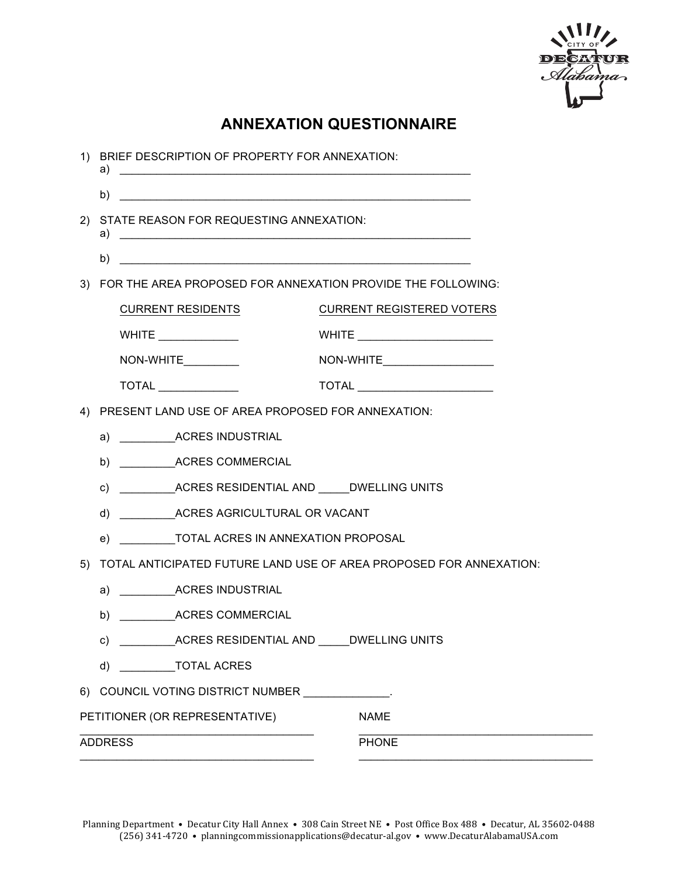

### **ANNEXATION QUESTIONNAIRE**

| BRIEF DESCRIPTION OF PROPERTY FOR ANNEXATION:<br>1)                      |                                                                                           |  |
|--------------------------------------------------------------------------|-------------------------------------------------------------------------------------------|--|
|                                                                          |                                                                                           |  |
| STATE REASON FOR REQUESTING ANNEXATION:                                  |                                                                                           |  |
| b)<br><u> 1989 - Johann John Stone, Amerikaansk politiker (</u>          |                                                                                           |  |
| 3) FOR THE AREA PROPOSED FOR ANNEXATION PROVIDE THE FOLLOWING:           |                                                                                           |  |
| <b>CURRENT RESIDENTS</b>                                                 | <b>CURRENT REGISTERED VOTERS</b>                                                          |  |
| WHITE $\_\_$                                                             | WHITE ____________________________                                                        |  |
| NON-WHITE_________                                                       | NON-WHITE______________________                                                           |  |
|                                                                          |                                                                                           |  |
| PRESENT LAND USE OF AREA PROPOSED FOR ANNEXATION:<br>4)                  |                                                                                           |  |
| a) ______________ACRES INDUSTRIAL                                        |                                                                                           |  |
|                                                                          |                                                                                           |  |
|                                                                          |                                                                                           |  |
|                                                                          |                                                                                           |  |
|                                                                          |                                                                                           |  |
| TOTAL ANTICIPATED FUTURE LAND USE OF AREA PROPOSED FOR ANNEXATION:<br>5) |                                                                                           |  |
| a) _____________ACRES INDUSTRIAL                                         |                                                                                           |  |
|                                                                          |                                                                                           |  |
| ____ACRES RESIDENTIAL AND _____DWELLING UNITS<br>C)                      |                                                                                           |  |
| d) ____________TOTAL ACRES                                               |                                                                                           |  |
|                                                                          |                                                                                           |  |
|                                                                          | <b>NAME</b>                                                                               |  |
|                                                                          | <b>PHONE</b>                                                                              |  |
|                                                                          | 6) COUNCIL VOTING DISTRICT NUMBER ___<br>PETITIONER (OR REPRESENTATIVE)<br><b>ADDRESS</b> |  |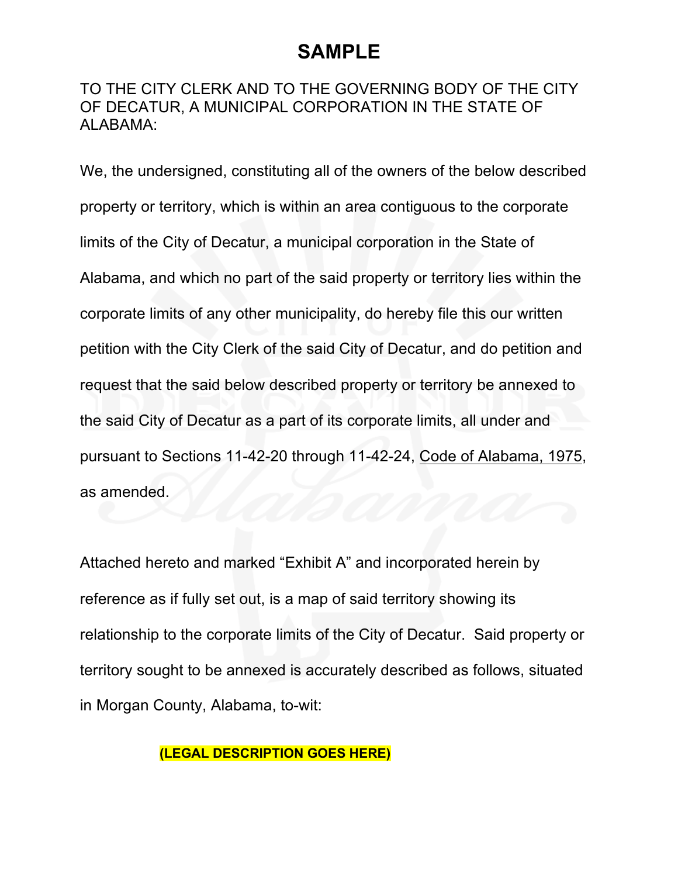# **SAMPLE**

### TO THE CITY CLERK AND TO THE GOVERNING BODY OF THE CITY OF DECATUR, A MUNICIPAL CORPORATION IN THE STATE OF ALABAMA:

We, the undersigned, constituting all of the owners of the below described property or territory, which is within an area contiguous to the corporate limits of the City of Decatur, a municipal corporation in the State of Alabama, and which no part of the said property or territory lies within the corporate limits of any other municipality, do hereby file this our written petition with the City Clerk of the said City of Decatur, and do petition and request that the said below described property or territory be annexed to the said City of Decatur as a part of its corporate limits, all under and pursuant to Sections 11-42-20 through 11-42-24, Code of Alabama, 1975, as amended.

Attached hereto and marked "Exhibit A" and incorporated herein by reference as if fully set out, is a map of said territory showing its relationship to the corporate limits of the City of Decatur. Said property or territory sought to be annexed is accurately described as follows, situated in Morgan County, Alabama, to-wit:

### **(LEGAL DESCRIPTION GOES HERE)**